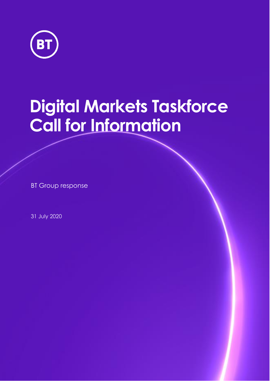

# **Digital Markets Taskforce Call for Information**

BT Group response

31 July 2020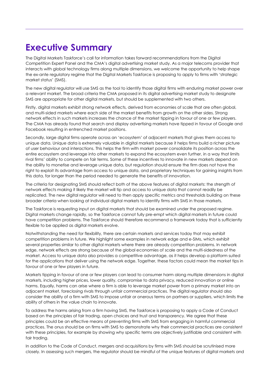# **Executive Summary**

The Digital Markets Taskforce's call for information takes forward recommendations from the Digital Competition Expert Panel and the CMA's digital advertising market study. As a major telecoms provider that interacts with global technology firms along multiple dimensions, we welcome the opportunity to help shape the ex-ante regulatory regime that the Digital Markets Taskforce is proposing to apply to firms with 'strategic market status' (SMS).

The new digital regulator will use SMS as the tool to identify those digital firms with enduring market power over a relevant market. The broad criteria the CMA proposed in its digital advertising market study to designate SMS are appropriate for other digital markets, but should be supplemented with two others.

Firstly, digital markets exhibit strong network effects, derived from economies of scale that are often global, and multi-sided markets where each side of the market benefits from growth on the other sides. Strong network effects in such markets increases the chance of the market tipping in favour of one or few players. The CMA has already found that search and display advertising markets have tipped in favour of Google and Facebook resulting in entrenched market positions.

Secondly, large digital firms operate across an 'ecosystem' of adjacent markets that gives them access to unique data. Unique data is extremely valuable in digital markets because it helps firms build a richer picture of user behaviour and interactions. This helps the firm with market power consolidate its position across the entire ecosystem and leverage into other markets to expand the ecosystem even further, in a way that limits rival firms' ability to compete on fair terms. Some of these incentives to innovate in new markets depend on the ability to monetise and leverage unique data, but regulation should ensure the firm does not have the right to exploit its advantage from access to unique data, and proprietary techniques for gaining insights from this data, for longer than the period needed to generate the benefits of innovation.

The criteria for designating SMS should reflect both of the above features of digital markets: the strength of network effects making it likely the market will tip and access to unique data that cannot readily be replicated. The new digital regulator will need to then apply specific metrics and thresholds building on these broader criteria when looking at individual digital markets to identify firms with SMS in those markets.

The Taskforce is requesting input on digital markets that should be examined under the proposed regime. Digital markets change rapidly, so the Taskforce cannot fully pre-empt which digital markets in future could have competition problems. The Taskforce should therefore recommend a framework today that is sufficiently flexible to be applied as digital markets evolve.

Notwithstanding the need for flexibility, there are certain markets and services today that may exhibit competition problems in future. We highlight some examples in network edge and e-SIMs, which exhibit several properties similar to other digital markets where there are already competition problems. In network edge, network effects are strong because of the global economies of scale and the multi-sidedness of the market. Access to unique data also provides a competitive advantage, as it helps develop a platform suited for the applications that deliver using the network edge. Together, these factors could mean the market tips in favour of one or few players in future.

Markets tipping in favour of one or few players can lead to consumer harm along multiple dimensions in digital markets, including higher prices, lower quality, compromise to data privacy, reduced innovation or online harms. Equally, harms can arise where a firm is able to leverage market power from a primary market into an adjacent market, foreclosing rivals through unfair commercial practices. The digital regulator should also consider the ability of a firm with SMS to impose unfair or onerous terms on partners or suppliers, which limits the ability of others in the value chain to innovate.

To address the harms arising from a firm having SMS, the Taskforce is proposing to apply a Code of Conduct based on the principles of fair trading, open choices and trust and transparency. We agree that these principles could be an effective means of preventing firms with SMS from engaging in harmful commercial practices. The onus should be on firms with SMS to demonstrate why their commercial practices are consistent with these principles, for example by showing why specific terms are objectively justifiable and consistent with fair trading.

In addition to the Code of Conduct, mergers and acquisitions by firms with SMS should be scrutinised more closely. In assessing such mergers, the regulator should be mindful of the unique features of digital markets and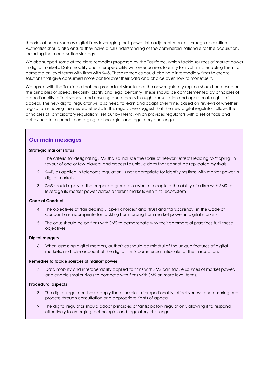theories of harm, such as digital firms leveraging their power into adjacent markets through acquisition. Authorities should also ensure they have a full understanding of the commercial rationale for the acquisition, including the monetisation strategy.

We also support some of the data remedies proposed by the Taskforce, which tackle sources of market power in digital markets. Data mobility and interoperability will lower barriers to entry for rival firms, enabling them to compete on level terms with firms with SMS. These remedies could also help intermediary firms to create solutions that give consumers more control over their data and choice over how to monetise it.

We agree with the Taskforce that the procedural structure of the new regulatory regime should be based on the principles of speed, flexibility, clarity and legal certainty. These should be complemented by principles of proportionality, effectiveness, and ensuring due process through consultation and appropriate rights of appeal. The new digital regulator will also need to learn and adapt over time, based on reviews of whether regulation is having the desired effects. In this regard, we suggest that the new digital regulator follows the principles of 'anticipatory regulation', set out by Nesta, which provides regulators with a set of tools and behaviours to respond to emerging technologies and regulatory challenges.

#### **Our main messages**

#### **Strategic market status**

- 1. The criteria for designating SMS should include the scale of network effects leading to 'tipping' in favour of one or few players, and access to unique data that cannot be replicated by rivals.
- 2. SMP, as applied in telecoms regulation, is not appropriate for identifying firms with market power in digital markets.
- 3. SMS should apply to the corporate group as a whole to capture the ability of a firm with SMS to leverage its market power across different markets within its 'ecosystem'.

#### **Code of Conduct**

- 4. The objectives of 'fair dealing', 'open choices' and 'trust and transparency' in the Code of Conduct are appropriate for tackling harm arising from market power in digital markets.
- 5. The onus should be on firms with SMS to demonstrate why their commercial practices fulfil these objectives.

#### **Digital mergers**

6. When assessing digital mergers, authorities should be mindful of the unique features of digital markets, and take account of the digital firm's commercial rationale for the transaction.

#### **Remedies to tackle sources of market power**

7. Data mobility and interoperability applied to firms with SMS can tackle sources of market power, and enable smaller rivals to compete with firms with SMS on more level terms.

#### **Procedural aspects**

- 8. The digital regulator should apply the principles of proportionality, effectiveness, and ensuring due process through consultation and appropriate rights of appeal.
- 9. The digital regulator should adopt principles of 'anticipatory regulation', allowing it to respond effectively to emerging technologies and regulatory challenges.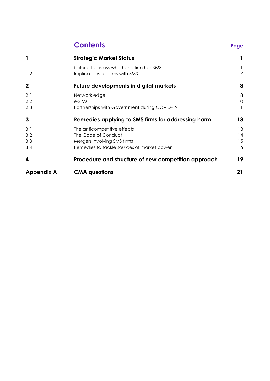# **Contents Page**

| $\mathcal{L}$ | ٠ |        |
|---------------|---|--------|
|               |   |        |
| . .<br>w      |   | ٧<br>w |

|                   | <b>Strategic Market Status</b>                      |    |
|-------------------|-----------------------------------------------------|----|
| 1.1               | Criteria to assess whether a firm has SMS           |    |
| 1.2               | Implications for firms with SMS                     | 7  |
| $\mathbf{2}$      | <b>Future developments in digital markets</b>       | 8  |
| 2.1               | Network edge                                        | 8  |
| 2.2               | e-SIMs                                              | 10 |
| 2.3               | Partnerships with Government during COVID-19        | 11 |
| 3                 | Remedies applying to SMS firms for addressing harm  | 13 |
| 3.1               | The anticompetitive effects                         | 13 |
| 3.2               | The Code of Conduct                                 | 14 |
| 3.3               | Mergers involving SMS firms                         | 15 |
| 3.4               | Remedies to tackle sources of market power          | 16 |
| 4                 | Procedure and structure of new competition approach | 19 |
| <b>Appendix A</b> | <b>CMA</b> questions                                | 21 |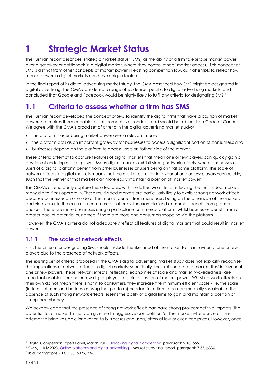# <span id="page-4-0"></span>**1 Strategic Market Status**

The Furman report describes 'strategic market status' (SMS) as the ability of a firm to exercise market power over a gateway or bottleneck in a digital market, where they control others' market access.<sup>1</sup> This concept of SMS is distinct from other concepts of market power in existing competition law, as it attempts to reflect how market power in digital markets can have unique features.

In the final report of its digital advertising market study, the CMA described how SMS might be designated in digital advertising. The CMA considered a range of evidence specific to digital advertising markets, and concluded that Google and Facebook would be highly likely to fulfil any criteria for designating SMS.<sup>2</sup>

# <span id="page-4-1"></span>**1.1 Criteria to assess whether a firm has SMS**

The Furman report developed the concept of SMS to identify the digital firms that have a position of market power that makes them capable of anti-competitive conduct, and should be subject to a Code of Conduct. We agree with the CMA's broad set of criteria in the digital advertising market study:<sup>3</sup>

- the platform has enduring market power over a relevant market;
- the platform acts as an important gateway for businesses to access a significant portion of consumers; and
- businesses depend on the platform to access users on 'other' side of the market.

These criteria attempt to capture features of digital markets that mean one or few players can quickly gain a position of enduring market power. Many digital markets exhibit strong network effects, where businesses or users of a digital platform benefit from other businesses or users being on that same platform. The scale of network effects in digital markets means that the market can 'tip' in favour of one or few players very quickly, such that the winner of that market can more easily maintain a position of market power.

The CMA's criteria partly capture these features, with the latter two criteria reflecting the multi-sided markets many digital firms operate in. These multi-sided markets are particularly likely to exhibit strong network effects because businesses on one side of the market benefit from more users being on the other side of the market, and vice versa. In the case of e-commerce platforms, for example, end consumers benefit from greater choice if there are more businesses using a particular e-commerce platform, whilst businesses benefit from a greater pool of potential customers if there are more end consumers shopping via the platform.

However, the CMA's criteria do not adequately reflect all features of digital markets that could result in market power.

#### **1.1.1 The scale of network effects**

First, the criteria for designating SMS should include the likelihood of the market to tip in favour of one or few players due to the presence of network effects.

The existing set of criteria proposed in the CMA's digital advertising market study does not explicitly recognise the implications of network effects in digital markets; specifically, the likelihood that a market 'tips' in favour of one or few players. These network effects (reflecting economies of scale and market two-sidedness) are important enablers for one or few digital players to gain a position of market power. Whilst network effects on their own do not mean there is harm to consumers, they increase the minimum efficient scale - i.e. the scale (in terms of users and businesses using that platform) needed for a firm to be commercially sustainable. The absence of such strong network effects lessens the ability of digital firms to gain and maintain a position of strong incumbency.

We acknowledge that the presence of strong network effects can have strong pro-competitive impacts. The potential for a market to 'tip' can give rise to aggressive competition *for* the market, where several firms attempt to bring valuable innovation to businesses and users, often at low or even free prices. However, once

<sup>1</sup> Digital Competition Expert Panel, March 2019[. Unlocking digital competition.](https://assets.publishing.service.gov.uk/government/uploads/system/uploads/attachment_data/file/785547/unlocking_digital_competition_furman_review_web.pdf) paragraph 2.10, p55.

<sup>2</sup> CMA, 1 July 2020. [Online platforms and digital advertising](https://assets.publishing.service.gov.uk/media/5efc57ed3a6f4023d242ed56/Final_report_1_July_2020_.pdf) – Market study final report. paragraph 7.57, p336.

<sup>3</sup> Ibid. paragraphs 7.14, 7.55, p326, 336.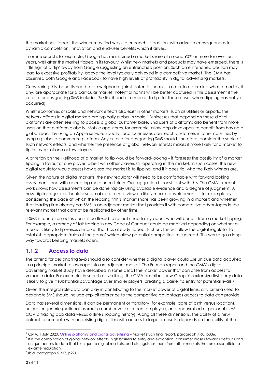the market has tipped, the winner may find ways to entrench its position, with adverse consequences for dynamic competition, innovation and end-user benefits which it drives.

In online search, for example, Google has maintained a market share of around 90% or more for over ten years, well after the market tipped in its favour.<sup>4</sup> Whilst new markets and products may have emerged, there is little sign of a 'tip' away from Google suggesting an entrenched position. Such an entrenched position may lead to excessive profitability, above the level typically achieved in a competitive market. The CMA has observed both Google and Facebook to have high levels of profitability in digital advertising markets.

Considering this, benefits need to be weighed against potential harms, in order to determine what remedies, if any, are appropriate for a particular market. Potential harms will be better captured in this assessment if the criteria for designating SMS includes *the* likelihood of a market to tip (for those cases where tipping has not yet occurred).

Whilst economies of scale and network effects also exist in other markets, such as utilities or airports, the network effects in digital markets are typically global in scale.<sup>5</sup> Businesses that depend on these digital platforms are often seeking to access a global customer base. End users of platforms also benefit from more users on that platform globally. Mobile app stores, for example, allow app developers to benefit from having a global reach by using an Apple service. Equally, local businesses can reach customers in other countries by using a global e-commerce platform. Any criteria for designating SMS should, therefore, consider the scale of such network effects, and whether the presence of global network effects makes it more likely for a market to tip in favour of one or few players.

A criterion on the likelihood of a market to tip would be forward-looking – it foresees the possibility of a market tipping in favour of one player, albeit with other players still operating in the market. In such cases, the new digital regulator would assess how close the market is to tipping, and if it does tip, who the likely winners are.

Given the nature of digital markets, the new regulator will need to be comfortable with forward looking assessments and with accepting more uncertainty. Our suggestion is consistent with this. The CMA's recent work shows how assessments can be done rapidly using available evidence and a degree of judgment. A new digital regulator should also be able to form a view on likely market developments – for example by considering the pace at which the leading firm's market share has been growing in a market; and whether that leading firm already has SMS in an adjacent market that provides it with competitive advantages in the relevant market that cannot be replicated by other firms.

If SMS is found, remedies can still be flexed to reflect uncertainty about who will benefit from a market tipping. For example, a remedy of fair trading in any Code of Conduct could be modified depending on whether a market is likely to tip versus a market that has already tipped. In short, this will allow the digital regulator to establish appropriate 'rules of the game' which allow potential competitors to succeed. This would go a long way towards keeping markets open.

#### **1.1.2 Access to data**

The criteria for designating SMS should also consider whether a digital player could use unique data acquired in a principal market to leverage into an adjacent market. The Furman report and the CMA's digital advertising market study have described in some detail the market power that can arise from access to valuable data. For example, in search advertising, the CMA describes how Google's extensive first-party data is likely to give it substantial advantage over smaller players, creating a barrier to entry for potential rivals.<sup>6</sup>

Given the integral role data can play in contributing to the market power of digital firms, any criteria used to designate SMS should include explicit reference to the competitive advantages access to data can provide.

Data has several dimensions. It can be permanent or transitory (for example, date of birth versus location), unique or generic (national insurance number versus current employer), and anonymised or personal (NHS COVID tracing app data versus online shopping history). Along all these dimensions, the ability of a new entrant to compete with an existing digital firm with access to large datasets, depends on the ability of that

<sup>5</sup> It is the combination of global network effects, high barriers to entry and expansion, consumer biases towards defaults and unique access to data that is unique to digital markets, and distinguishes them from other markets that are susceptible to ex-ante regulation.

6 Ibid. paragraph 5.307, p291.

<sup>4</sup> CMA, 1 July 2020. [Online platforms and digital advertising](https://assets.publishing.service.gov.uk/media/5efc57ed3a6f4023d242ed56/Final_report_1_July_2020_.pdf) – Market study final report. paragraph 7.60, p336.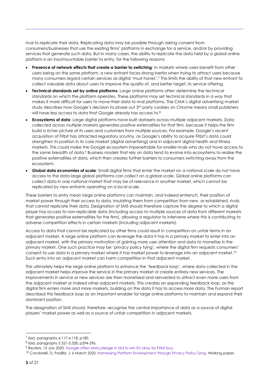rival to replicate their data. Replicating data may be possible through asking consent from consumers/businesses that use the existing firms' platforms in exchange for a service, and/or by providing services that generate such data. But in many cases, the ability to replicate the data held by a global online platform is an insurmountable barrier to entry, for the following reasons:

- **Presence of network effects that create a barrier to switching:** In markets where users benefit from other users being on the same platform, a new entrant faces strong inertia when trying to attract users because many consumers regard certain services as digital 'must haves'.<sup>7</sup> This limits the ability of that new entrant to collect valuable data about users to improve the quality of, and better target, its service offering.
- **Technical standards set by online platforms**: Large online platforms often determine the technical standards on which the platform operates. These platforms may set technical standards in a way that makes it more difficult for users to move their data to rival platforms. The CMA's digital advertising market study describes how Google's decision to phase out 3<sup>rd</sup> party cookies on Chrome means small publishers will have less access to data that Google already has access to.<sup>8</sup>
- **Ecosystems of data**: Large digital platforms have built datasets across multiple adjacent markets. Data collected across multiple markets generates positive externalities for that firm, because it helps the firm build a richer picture of its users and customers from multiple sources. For example, Google's recent acquisition of Fitbit has attracted regulatory scrutiny, as Google's ability to acquire Fitbit's data could strengthen its position in its core market (digital advertising) and in adjacent digital health and fitness markets. This could make the Google ecosystem impenetrable for smaller rivals who do not have access to the same breadth of data.<sup>9</sup> Business models that rely on data tend to evolve into ecosystems to realise the positive externalities of data, which then creates further barriers to consumers switching away from the ecosystem.
- **Global data economies of scale**: Small digital firms that enter the market on a national scale do not have access to the data large global platforms can collect on a global scale. Global online platforms can collect data in one national market that may be of relevance in another market, which cannot be replicated by new entrants operating on a local scale.

These barriers to entry mean large online platforms can maintain, and indeed entrench, their position of market power through their access to data, insulating them from competition from new, or established, rivals that cannot replicate their data. Designation of SMS should therefore capture the degree to which a digital player has access to non-replicable data (including access to multiple sources of data from different markets that generates positive externalities for the firm), allowing a regulator to intervene where this is contributing to adverse competition effects in certain markets (including adjacent markets).

Access to data that cannot be replicated by other firms could result in competition on unfair terms in an adjacent market. A large online platform can leverage the data it has in a primary market to enter into an adjacent market, with the primary motivation of gaining more user attention and data to monetise in the primary market. One such practice may be 'privacy policy tying', where the digital firm requests consumers' consent to use data in a primary market where it has market power to leverage into an adjacent market.<sup>10</sup> Such entry into an adjacent market can harm competition in that adjacent market.

This ultimately helps the large online platform to enhance the 'feedback loop', where data collected in the adjacent market helps improve the service in the primary market or create entirely new services. The improvements in service or new services are then monetised and reinvested to attract even more users from the adjacent market or indeed other adjacent markets. This creates an expanding feedback loop, as the digital firm enters more and more markets, building on the data it has to access more data. The Furman report described this feedback loop as an important enabler for large online platforms to maintain and expand their dominant position.

The designation of SMS should, therefore, recognise the central importance of data as a source of digital players' market power as well as a source of unfair competition in adjacent markets.

<sup>7</sup> Ibid. paragraphs 4.117-4.118, p180.

<sup>8</sup> Ibid. paragraphs 5.321-5.328, p294-296.

<sup>9</sup> Reuters, 13 July 2020. [Google offers data pledge in bid to win EU okay for Fitbit buy.](https://www.reuters.com/article/us-fitbit-m-a-alphabet-eu-exclusive/exclusive-google-offers-data-pledge-in-bid-to-win-eu-okay-for-fitbit-buy-idUSKCN24E2X5)

<sup>&</sup>lt;sup>10</sup> Condorelli, D, Padilla, J, 6 March 2020. [Harnessing Platform Envelopment through Privacy Policy Tying.](https://antitrustdigest.net/daniele-condorelli-and-jorge-padilla-harnessing-platform-envelopment-through-privacy-policy-tying-working-paper/) Working paper.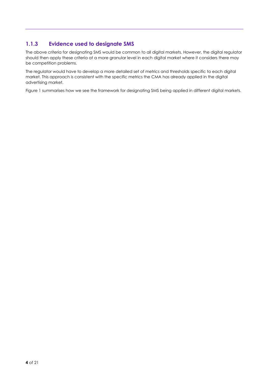#### **1.1.3 Evidence used to designate SMS**

The above criteria for designating SMS would be common to all digital markets. However, the digital regulator should then apply these criteria at a more granular level in each digital market where it considers there may be competition problems.

The regulator would have to develop a more detailed set of metrics and thresholds specific to each digital market. This approach is consistent with the specific metrics the CMA has already applied in the digital advertising market.

Figure 1 summarises how we see the framework for designating SMS being applied in different digital markets.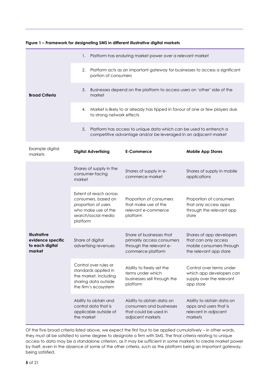#### **Figure 1 – Framework for designating SMS in different illustrative digital markets Broad Criteria** 1. Platform has enduring market power over a relevant market 2. Platform acts as an important gateway for businesses to access a significant portion of consumers 3. Businesses depend on the platform to access users on 'other' side of the market 4. Market is likely to or already has tipped in favour of one or few players due to strong network effects 5. Platform has access to unique data which can be used to entrench a competitive advantage and/or be leveraged in an adjacent market Example digital markets **Digital Advertising E-Commerce Mobile App Stores Illustrative evidence specific to each digital market** Shares of supply in the consumer-facing market Shares of supply in ecommerce market Shares of supply in mobile applications Extent of reach across consumers, based on proportion of users who make use of the search/social media platform Proportion of consumers that make use of the relevant e-commerce platform Proportion of consumers that only access apps through the relevant app store Share of digital advertising revenues Share of businesses that primarily access consumers through the relevant ecommerce platform Shares of app developers that can only access mobile consumers through the relevant app store Control over rules or standards applied in the market, including sharing data outside the firm's ecosystem Ability to freely set the terms under which businesses sell through the platform Control over terms under which app developers can supply over the relevant app store Ability to obtain and control data that is applicable outside of the market Ability to obtain data on consumers and businesses that could be used in adjacent markets Ability to obtain data on apps and users that is relevant in adjacent markets

Of the five broad criteria listed above, we expect the first four to be applied cumulatively – in other words, they must all be satisfied to some degree to designate a firm with SMS. The final criteria relating to unique access to data may be a standalone criterion, as it may be sufficient in some markets to create market power by itself, even in the absence of some of the other criteria, such as the platform being an important gateway, being satisfied.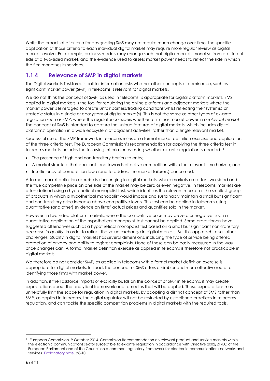Whilst the broad set of criteria for designating SMS may not require much change over time, the specific application of those criteria to each individual digital market may require more regular review as digital markets evolve. For example, business models may change such that digital markets monetise from a different side of a two-sided market, and the evidence used to assess market power needs to reflect the side in which the firm monetises its services.

#### **1.1.4 Relevance of SMP in digital markets**

The Digital Markets Taskforce's call for information asks whether other concepts of dominance, such as significant market power (SMP) in telecoms is relevant for digital markets.

We do not think the concept of SMP, as used in telecoms, is appropriate for digital platform markets. SMS applied in digital markets is the tool for regulating the online platforms and adjacent markets where the market power is leveraged to create unfair barriers/trading conditions whilst reflecting their systemic or strategic status in a single or ecosystem of digital market(s). This is not the same as other types of ex-ante regulation such as SMP, where the regulator considers whether a firm has market power in *a relevant market*. The concept of SMS is intended to capture the unique features of digital markets, which includes digital platforms' operation in a wide ecosystem of adjacent activities, rather than a single relevant market.

Successful use of the SMP framework in telecoms relies on a formal market definition exercise and application of the three criteria test. The European Commission's recommendation for applying the three criteria test in telecoms markets includes the following criteria for assessing whether ex-ante regulation is needed:<sup>11</sup>

- The presence of high and non-transitory barriers to entry;
- A market structure that does not tend towards effective competition within the relevant time horizon; and
- Insufficiency of competition law alone to address the market failure(s) concerned.

A formal market definition exercise is challenging in digital markets, where markets are often two-sided and the true competitive price on one side of the market may be zero or even negative. In telecoms, markets are often defined using a hypothetical monopolist test, which identifies the relevant market as the smallest group of products in which a hypothetical monopolist would impose and sustainably maintain a small but significant and non-transitory price increase above competitive levels. This test can be applied in telecoms using quantitative (and other) evidence on firms' actual prices and quantities sold in the market.

However, in two-sided platform markets, where the competitive price may be zero or negative, such a quantitative application of the hypothetical monopolist test cannot be applied. Some practitioners have suggested alternatives such as a hypothetical monopolist test based on a small but significant non-transitory *decrease in quality*, in order to reflect the value exchange in digital markets. But this approach raises other challenges. Quality in digital markets has several dimensions, including the type of service being offered, protection of privacy and ability to register complaints. None of these can be easily measured in the way price changes can. A formal market definition exercise as applied in telecoms is therefore not practicable in digital markets.

We therefore do not consider SMP, as applied in telecoms with a formal market definition exercise is appropriate for digital markets. Instead, the concept of SMS offers a nimbler and more effective route to identifying those firms with market power.

In addition, if the Taskforce imports or explicitly builds on the concept of SMP in telecoms, it may create expectations about the analytical framework and remedies that will be applied. These expectations may unhelpfully limit the scope for regulation in digital markets. By adopting a distinct concept of SMS rather than SMP, as applied in telecoms, the digital regulator will not be restricted by established practices in telecoms regulation, and can tackle the specific competition problems in digital markets with the required tools.

<sup>&</sup>lt;sup>11</sup> European Commission, 9 October 2014. Commission Recommendation on relevant product and service markets within the electronic communications sector susceptible to ex-ante regulation in accordance with Directive 2002/21/EC of the European Parliament and of the Council on a common regulatory framework for electronic communications networks and services. [Explanatory note.](https://ec.europa.eu/digital-single-market/en/news/explanatory-note-accompanying-commission-recommendation-relevant-product-and-service-markets) p8-10.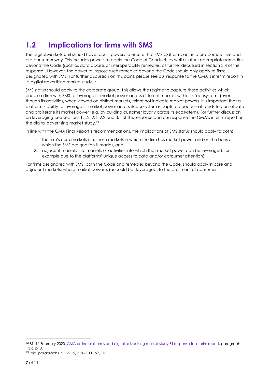# <span id="page-10-0"></span>**1.2 Implications for firms with SMS**

The Digital Markets Unit should have robust powers to ensure that SMS platforms act in a pro-competitive and pro-consumer way. This includes powers to apply the Code of Conduct, as well as other appropriate remedies beyond the Code (such as data access or interoperability remedies, as further discussed in section 3.4 of this response). However, the power to impose such remedies beyond the Code should only apply to firms designated with SMS. For further discussion on this point, please see our response to the CMA's interim report in its digital advertising market study.<sup>12</sup>

SMS status should apply to the corporate group. This allows the regime to capture those activities which enable a firm with SMS to leverage its market power across different markets within its 'ecosystem' (even though its activities, when viewed on distinct markets, might not indicate market power). It is important that a platform's ability to leverage its market power across its ecosystem is captured because it tends to consolidate and proliferate its market power (e.g. by building customer loyalty across its ecosystem). For further discussion on leveraging, see sections 1.1.2, 2.1, 2.2 and 3.1 of this response and our response the CMA's interim report on the digital advertising market study.<sup>13</sup>

In line with the CMA Final Report's recommendations, the implications of SMS status should apply to both:

- 1. the firm's core markets (i.e. those markets in which the firm has market power and on the basis of which the SMS designation is made), and
- 2. adjacent markets (i.e. markets or activities into which that market power can be leveraged, for example due to the platforms' unique access to data and/or consumer attention).

For firms designated with SMS, both the Code and remedies beyond the Code, should apply in core and adjacent markets, where market power is (or could be) leveraged, to the detriment of consumers.

<sup>&</sup>lt;sup>12</sup> BT, 12 February 2020[. CMA online platforms and digital advertising market study BT response to interim report.](https://assets.publishing.service.gov.uk/media/5e8c7e5fe90e070776797277/200212_BT_Interim_report_Response_NON-CONFIDENTIAL.pdf) paragraph 3.6, p10.

<sup>13</sup> Ibid. paragraphs 2.11-2.12, 3.10-3.11, p7, 10.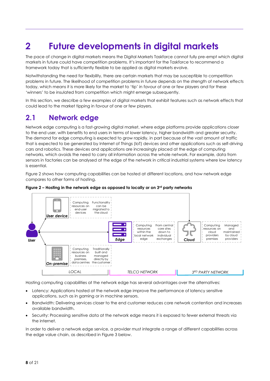# <span id="page-11-0"></span>**2 Future developments in digital markets**

The pace of change in digital markets means the Digital Markets Taskforce cannot fully pre-empt which digital markets in future could have competition problems. It's important for the Taskforce to recommend a framework today that is sufficiently flexible to be applied as digital markets evolve.

Notwithstanding the need for flexibility, there are certain markets that may be susceptible to competition problems in future. The likelihood of competition problems in future depends on the strength of network effects today, which means it is more likely for the market to 'tip' in favour of one or few players and for these 'winners' to be insulated from competition which might emerge subsequently.

In this section, we describe a few examples of digital markets that exhibit features such as network effects that could lead to the market tipping in favour of one or few players.

### <span id="page-11-1"></span>**2.1 Network edge**

Network edge computing is a fast-growing digital market, where edge platforms provide applications closer to the end user, with benefits to end users in terms of lower latency, higher bandwidth and greater security. The demand for edge computing is expected to grow rapidly, in part because of the vast amount of traffic that is expected to be generated by Internet of Things (IoT) devices and other applications such as self-driving cars and robotics. These devices and applications are increasingly placed at the edge of computing networks, which avoids the need to carry all information across the whole network. For example, data from sensors in factories can be analysed at the edge of the network in critical industrial systems where low latency is essential.

Figure 2 shows how computing capabilities can be hosted at different locations, and how network edge compares to other forms of hosting.



#### **Figure 2 – Hosting in the network edge as opposed to locally or on 3rd party networks**

Hosting computing capabilities at the network edge has several advantages over the alternatives:

- Latency: Applications hosted at the network edge improve the performance of latency sensitive applications, such as in gaming or in machine sensors.
- Bandwidth: Delivering services closer to the end customer reduces core network contention and increases available bandwidth.
- Security: Processing sensitive data at the network edge means it is exposed to fewer external threats via the internet.

In order to deliver a network edge service, a provider must integrate a range of different capabilities across the edge value chain, as described in Figure 3 below.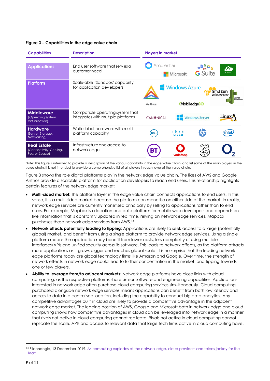#### **Figure 3 – Capabilities in the edge value chain**

| <b>Capabilities</b>                                            | <b>Description</b>                                                     | <b>Players in market</b> |                       |                         |                                                                           |
|----------------------------------------------------------------|------------------------------------------------------------------------|--------------------------|-----------------------|-------------------------|---------------------------------------------------------------------------|
| <b>Applications</b>                                            | End user software that serves a<br>customer need                       | Ambient.ai               | Microsoft             | ▅▉▚▚▖<br><b>G</b> Suite | 公<br>$x \cos \theta$                                                      |
| <b>Platform</b>                                                | Scale-able 'Sandbox' capability<br>for application developers          | Anthos                   | <b>Windows Azure</b>  | <mobiledge></mobiledge> | amazor<br>web services <sup>-</sup><br><b>Elastic</b><br><b>Beanstalk</b> |
| <b>Middleware</b><br>(Operating System,<br>Virtualisation)     | Compatible operating system that<br>integrates with multiple platforms | <b>CANONICAL</b>         |                       | <b>Windows Server</b>   | $\text{Linux}_t$                                                          |
| <b>Hardware</b><br>(Server, Storage,<br>Networking)            | White-label hardware with multi-<br>platform capability                | DELL                     | ahaha<br><b>CISCO</b> |                         | (intel)                                                                   |
| <b>Real Estate</b><br>(Connectivity, Cooling,<br>Power, Space) | Infrastructure and access to<br>network edge                           | Bì                       | vodafone              |                         |                                                                           |

Note: This figure is intended to provide a description of the various capability in the edge value chain, and list some of the main players in the value chain. It is not intended to provide a comprehensive list of all players in each layer of the value chain.

Figure 3 shows the role digital platforms play in the network edge value chain. The likes of AWS and Google Anthos provide a scalable platform for application developers to reach end users. This relationship highlights certain features of the network edge market:

- **Multi-sided market**: The platform layer in the edge value chain connects applications to end users. In this sense, it is a multi-sided market because the platform can monetise on either side of the market. In reality, network edge services are currently monetised principally by selling to applications rather than to end users. For example, Mapbox is a location and data platform for mobile web developers and depends on live information that is constantly updated in real time, relying on network edge services. Mapbox purchases these network edge services from AWS.<sup>14</sup>
- **Network effects potentially leading to tipping**: Applications are likely to seek access to a large (potentially global) market, and benefit from using a single platform to provide network edge services. Using a single platform means the application may benefit from lower costs, less complexity of using multiple interfaces/APIs and unified security across its software. This leads to network effects, as the platform attracts more applications as it grows bigger and reaches global scale. It is no surprise that the leading network edge platforms today are global technology firms like Amazon and Google. Over time, the strength of network effects in network edge could lead to further concentration in the market, and tipping towards one or few players.
- **Ability to leverage from/to adjacent markets**: Network edge platforms have close links with cloud computing, as the respective platforms share similar software and engineering capabilities. Applications interested in network edge often purchase cloud computing services simultaneously. Cloud computing purchased alongside network edge services means applications can benefit from both low latency and access to data in a centralised location, including the capability to conduct big data analytics. Any competitive advantages built in cloud are likely to provide a competitive advantage in the adjacent network edge market. The leading position of AWS, Google and Microsoft both in network edge and cloud computing shows how competitive advantages in cloud can be leveraged into network edge in a manner that rivals not active in cloud computing cannot replicate. Rivals not active in cloud computing cannot replicate the scale, APIs and access to relevant data that large tech firms active in cloud computing have.

<sup>14</sup> Silconangle, 13 December 2019. As computing explodes at the network edge, cloud providers and telcos jockey for the [lead.](https://siliconangle.com/2019/12/13/computing-explodes-network-edge-cloud-providers-telcos-jockey-lead/)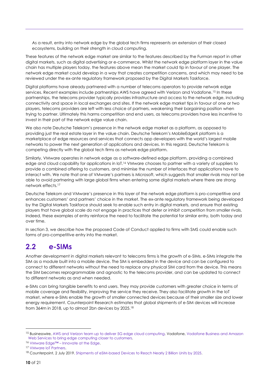As a result, entry into network edge by the global tech firms represents an extension of their closed ecosystems, building on their strength in cloud computing.

These features of the network edge market are similar to the features described by the Furman report in other digital markets, such as digital advertising or e-commerce. Whilst the network edge platform layer in the value chain has multiple players today, the features above mean the market could tip in favour of one player. The network edge market could develop in a way that creates competition concerns, and which may need to be reviewed under the ex-ante regulatory framework proposed by the Digital Markets Taskforce.

Digital platforms have already partnered with a number of telecoms operators to provide network edge services. Recent examples include partnerships AWS have agreed with Verizon and Vodafone.<sup>15</sup> In these partnerships, the telecoms provider typically provides infrastructure and access to the network edge, including connectivity and space in local exchanges and sites. If the network edge market tips in favour of one or two players, telecoms providers are left with less choice of partners, weakening their bargaining position when trying to partner. Ultimately this harms competition and end users, as telecoms providers have less incentive to invest in their part of the network edge value chain.

We also note Deutsche Telekom's presence in the network edge market as a platform, as opposed to providing just the real estate layer in the value chain. Deutsche Telekom's MobileEdgeX platform is a marketplace of edge resources and services that connects app developers with the world's largest mobile networks to power the next generation of applications and devices. In this regard, Deutsche Telekom is competing directly with the global tech firms as network edge platform.

Similarly, VMware operates in network edge as a software-defined edge platform, providing a combined edge and cloud capability for applications in IoT.<sup>16</sup> VMware chooses to partner with a variety of suppliers to provide a combined offering to customers, and minimise the number of interfaces that applications have to interact with. We note that one of VMware's partners is Microsoft, which suggests that smaller rivals may not be able to avoid partnering with large global firms when entering some digital markets where there are strong network effects.<sup>17</sup>

Deutsche Telekom and VMware's presence in this layer of the network edge platform is pro-competitive and enhances customers' and partners' choice in the market. The ex-ante regulatory framework being developed by the Digital Markets Taskforce should seek to enable such entry in digital markets, and ensure that existing players that have global scale do not engage in practices that deter or inhibit competition from smaller rivals. Indeed, these examples of entry reinforce the need to facilitate the potential for similar entry, both today and over time.

In section 3, we describe how the proposed Code of Conduct applied to firms with SMS could enable such forms of pro-competitive entry into the market.

### <span id="page-13-0"></span>**2.2 e-SIMs**

Another development in digital markets relevant to telecoms firms is the growth of e-SIMs. e-SIMs integrate the SIM as a module built into a mobile device. The SIM is embedded in the device and can be configured to connect to different networks without the need to replace any physical SIM card from the device. This means the SIM becomes reprogrammable and agnostic to the telecoms provider, and can be updated to connect to different networks as and when needed.

e-SIMs can bring tangible benefits to end users. They may provide customers with greater choice in terms of mobile coverage and flexibility, improving the service they receive. They also facilitate growth in the IoT market, where e-SIMs enable the growth of smaller connected devices because of their smaller size and lower energy requirement. Counterpoint Research estimates that global shipments of e-SIM devices will increase from 364m in 2018, up to almost 2bn devices by 2025.<sup>18</sup>

<sup>15</sup> Businesswire[, AWS and Verizon team up to deliver 5G edge cloud computing.](https://www.businesswire.com/news/home/20191203005927/en/) Vodafone, Vodafone Business and Amazon [Web Services to bring edge computing closer to customers.](https://www.vodafone.com/business/news-and-insights/company-news/vodafone-business-and-amazon-web-services-to-bring-edge-computing-closer-to-customers)

<sup>16</sup> VMware Edge™ – [Innovate at the Edge.](https://www.vmware.com/uk/solutions/edge-internet-of-things.html)

<sup>17</sup> [VMware IoT Partners.](https://www.vmware.com/uk/solutions/edge-internet-of-things/partners.html)

<sup>18</sup> Counterpoint, 2 July 2019[. Shipments of eSIM-based Devices to Reach Nearly 2 Billion Units by 2025.](https://www.counterpointresearch.com/shipments-esim-based-devices-reach-nearly-2-billion-units-2025/)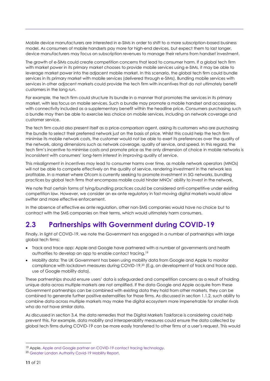Mobile device manufacturers are interested in e-SIMs in order to shift to a more subscription-based business model. As consumers of mobile handsets pay more for high-end devices, but expect them to last longer, device manufacturers may focus on subscription revenues to manage their returns from handset investment.

The growth of e-SIMs could create competition concerns that lead to consumer harm. If a global tech firm with market power in its primary market chooses to provide mobile services using e-SIMs, it may be able to leverage market power into the adjacent mobile market. In this scenario, the global tech firm could bundle services in its primary market with mobile services (delivered through e-SIMs). Bundling mobile services with services in other adjacent markets could provide the tech firm with incentives that do not ultimately benefit customers in the long run.

For example, the tech firm could structure its bundle in a manner that promotes the services in its primary market, with less focus on mobile services. Such a bundle may promote a mobile handset and accessories, with connectivity included as a supplementary benefit within the headline price. Consumers purchasing such a bundle may then be able to exercise less choice on mobile services, including on network coverage and customer service.

The tech firm could also present itself as a price-comparison agent, asking its customers who are purchasing the bundle to select their preferred network just on the basis of price. Whilst this could help the tech firm minimise its mobile network costs, the customer would not be able to exert its preferences over the quality of the network, along dimensions such as network coverage, quality of service, and speed. In this regard, the tech firm's incentive to minimise costs and promote price as the only dimension of choice in mobile networks is inconsistent with consumers' long-term interest in improving quality of service.

This misalignment in incentives may lead to consumer harms over time, as mobile network operators (MNOs) will not be able to compete effectively on the quality of service, rendering investment in the network less profitable. In a market where Ofcom is currently seeking to promote investment in 5G networks, bundling practices by global tech firms that encompass mobile could hinder MNOs' ability to invest in the network.

We note that certain forms of tying/bundling practices could be considered anti-competitive under existing competition law. However, we consider an ex-ante regulatory in fast-moving digital markets would allow swifter and more effective enforcement.

In the absence of effective ex ante regulation, other non-SMS companies would have no choice but to contract with the SMS companies on their terms, which would ultimately harm consumers.

## <span id="page-14-0"></span>**2.3 Partnerships with Government during COVID-19**

Finally, in light of COVID-19, we note the Government has engaged in a number of partnerships with large global tech firms:

- Track and trace app: Apple and Google have partnered with a number of governments and health authorities to develop an app to enable contact tracing.<sup>19</sup>
- Mobility data: The UK Government has been using mobility data from Google and Apple to monitor compliance with lockdown measures during COVID-19.<sup>20</sup> (E.g. on development of track and trace app, use of Google mobility data).

These partnerships should ensure users' data is safeguarded and competition concerns as a result of holding unique data across multiple markets are not amplified. If the data Google and Apple acquire from these Government partnerships can be combined with existing data they hold from other markets, they can be combined to generate further positive externalities for those firms. As discussed in section 1.1.2, such ability to combine data across multiple markets may make the digital ecosystem more impenetrable for smaller rivals who do not have similar data.

As discussed in section 3.4, the data remedies that the Digital Markets Taskforce is considering could help prevent this. For example, data mobility and interoperability measures could ensure the data collected by global tech firms during COVID-19 can be more easily transferred to other firms at a user's request. This would

<sup>&</sup>lt;sup>19</sup> Apple[, Apple and Google partner on COVID-19 contact tracing technology.](https://www.apple.com/uk/newsroom/2020/04/apple-and-google-partner-on-covid-19-contact-tracing-technology/)

<sup>20</sup> [Greater London Authority Covid-19 Mobility Report.](https://data.london.gov.uk/dataset/coronavirus-covid-19-mobility-report)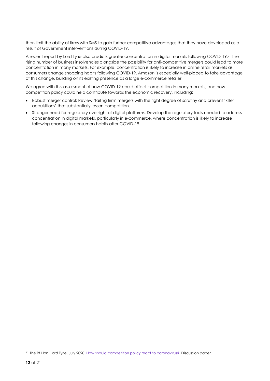then limit the ability of firms with SMS to gain further competitive advantages that they have developed as a result of Government interventions during COVID-19.

A recent report by Lord Tyrie also predicts greater concentration in digital markets following COVID-19.<sup>21</sup> The rising number of business insolvencies alongside the possibility for anti-competitive mergers could lead to more concentration in many markets. For example, concentration is likely to increase in online retail markets as consumers change shopping habits following COVID-19. Amazon is especially well-placed to take advantage of this change, building on its existing presence as a large e-commerce retailer.

We agree with this assessment of how COVID-19 could affect competition in many markets, and how competition policy could help contribute towards the economic recovery, including:

- Robust merger control: Review 'failing firm' mergers with the right degree of scrutiny and prevent 'killer acquisitions' that substantially lessen competition.
- Stronger need for regulatory oversight of digital platforms: Develop the regulatory tools needed to address concentration in digital markets, particularly in e-commerce, where concentration is likely to increase following changes in consumers habits after COVID-19.

<sup>21</sup> The Rt Hon. Lord Tyrie, July 2020[. How should competition policy react to coronavirus?.](https://www.ippr.org/files/2020-07/how-should-competition-policy-react-to-coronavirus-july20.pdf) Discussion paper.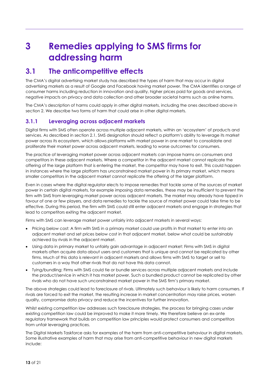# <span id="page-16-0"></span>**3 Remedies applying to SMS firms for addressing harm**

### <span id="page-16-1"></span>**3.1 The anticompetitive effects**

The CMA's digital advertising market study has described the types of harm that may occur in digital advertising markets as a result of Google and Facebook having market power. The CMA identifies a range of consumer harms including reduction in innovation and quality, higher prices paid for goods and services, negative impacts on privacy and data collection and other broader societal harms such as online harms.

The CMA's description of harms could apply in other digital markets, including the ones described above in section 2. We describe two forms of harm that could arise in other digital markets.

#### **3.1.1 Leveraging across adjacent markets**

Digital firms with SMS often operate across multiple adjacent markets, within an 'ecosystem' of products and services. As described in section 2.1, SMS designation should reflect a platform's ability to leverage its market power across its ecosystem, which allows platforms with market power in one market to consolidate and proliferate their market power across adjacent markets, leading to worse outcomes for consumers.

The practice of leveraging market power across adjacent markets can impose harms on consumers and competitors in these adjacent markets. Where a competitor in the adjacent market cannot replicate the offering of the large platform that is entering the market, the competitor may have to exit. This could happen in instances where the large platform has unconstrained market power in its primary market, which means smaller competitors in the adjacent market cannot replicate the offering of the larger platform.

Even in cases where the digital regulator elects to impose remedies that tackle some of the sources of market power in certain digital markets, for example imposing data remedies, these may be insufficient to prevent the firm with SMS from leveraging market power across adjacent markets. The market may already have tipped in favour of one or few players, and data remedies to tackle the source of market power could take time to be effective. During this period, the firm with SMS could still enter adjacent markets and engage in strategies that lead to competitors exiting the adjacent market.

Firms with SMS can leverage market power unfairly into adjacent markets in several ways:

- Pricing below cost: A firm with SMS in a primary market could use profits in that market to enter into an adjacent market and set prices below cost in that adjacent market, below what could be sustainably achieved by rivals in the adjacent market.
- Using data in primary market to unfairly gain advantage in adjacent market: Firms with SMS in digital markets often acquire data about users and customers that is unique and cannot be replicated by other firms. Much of this data is relevant in adjacent markets and allows firms with SMS to target or sell to customers in a way that other rivals that do not have this data cannot.
- Tying/bundling: Firms with SMS could tie or bundle services across multiple adjacent markets and include the product/service in which it has market power. Such a bundled product cannot be replicated by other rivals who do not have such unconstrained market power in the SMS firm's primary market.

The above strategies could lead to foreclosure of rivals. Ultimately such behaviour is likely to harm consumers. If rivals are forced to exit the market, the resulting increase in market concentration may raise prices, worsen quality, compromise data privacy and reduce the incentives for further innovation.

Whilst existing competition law addresses such foreclosure strategies, the process for bringing cases under existing competition law could be improved to make it more timely. We therefore believe an ex-ante regulatory framework that builds on competition law principles would protect consumers and competitors from unfair leveraging practices.

The Digital Markets Taskforce asks for examples of the harm from anti-competitive behaviour in digital markets. Some illustrative examples of harm that may arise from anti-competitive behaviour in new digital markets include: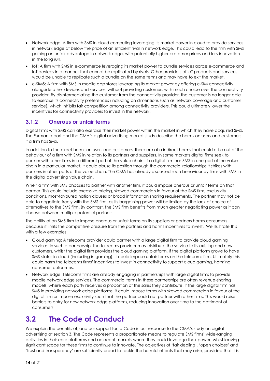- Network edge: A firm with SMS in cloud computing leveraging its market power in cloud to provide services in network edge at below the price of an efficient rival in network edge. This could lead to the firm with SMS gaining an unfair advantage in network edge, with potentially higher customer prices and less innovation in the long run.
- IoT: A firm with SMS in e-commerce leveraging its market power to bundle services across e-commerce and IoT devices in a manner that cannot be replicated by rivals. Other providers of IoT products and services would be unable to replicate such a bundle on the same terms and may have to exit the market.
- e-SIMS: A firm with SMS in mobile app stores leveraging its market power by offering e-SIM connectivity alongside other devices and services, without providing customers with much choice over the connectivity provider. By disintermediating the customer from the connectivity provider, the customer is no longer able to exercise its connectivity preferences (including on dimensions such as network coverage and customer service), which inhibits fair competition among connectivity providers. This could ultimately lower the incentives for connectivity providers to invest in the network.

#### **3.1.2 Onerous or unfair terms**

Digital firms with SMS can also exercise their market power within the market in which they have acquired SMS. The Furman report and the CMA's digital advertising market study describe the harms on users and customers if a firm has SMS.

In addition to the direct harms on users and customers, there are also indirect harms that could arise out of the behaviour of a firm with SMS in relation to its partners and suppliers. In some markets digital firms seek to partner with other firms in a different part of the value chain. If a digital firm has SMS in one part of the value chain in a particular market, it could abuse its position through the commercial relationships it strikes with partners in other parts of the value chain. The CMA has already discussed such behaviour by firms with SMS in the digital advertising value chain.

When a firm with SMS chooses to partner with another firm, it could impose onerous or unfair terms on that partner. This could include excessive pricing, skewed commercials in favour of the SMS firm, exclusivity conditions, most-favoured nation clauses or broad information sharing requirements. The partner may not be able to negotiate freely with the SMS firm, as its bargaining power will be limited by the lack of choice of alternatives to the SMS firm. By contrast, the SMS firm benefits from much greater negotiating power as it can choose between multiple potential partners.

The ability of an SMS firm to impose onerous or unfair terms on its suppliers or partners harms consumers because it limits the competitive pressure from the partners and harms incentives to invest. We illustrate this with a few examples:

- Cloud gaming: A telecoms provider could partner with a large digital firm to provide cloud gaming services. In such a partnership, the telecoms provider may distribute the service to its existing and new customers, whilst the digital firm provides the cloud gaming platform. If the digital platform grows to have SMS status in cloud (including in gaming), it could impose unfair terms on the telecoms firm. Ultimately this could harm the telecoms firms' incentives to invest in connectivity to support cloud gaming, harming consumer outcomes.
- Network edge: Telecoms firms are already engaging in partnerships with large digital firms to provide mobile network edge services. The commercial terms in these partnerships are often revenue-sharing models, where each party receives a proportion of the sales they contribute. If the large digital firm has SMS in providing network edge platforms, it could impose terms with skewed commercials in favour of the digital firm or impose exclusivity such that the partner could not partner with other firms. This would raise barriers to entry for new network edge platforms, reducing innovation over time to the detriment of consumers.

## <span id="page-17-0"></span>**3.2 The Code of Conduct**

We explain the benefits of, and our support for, a Code in our response to the CMA's study on digital advertising at section 3. The Code represents a proportionate means to regulate SMS firms' wide-ranging activities in their core platforms and adjacent markets where they could leverage their power, whilst leaving significant scope for these firms to continue to innovate. The objectives of 'fair dealing', 'open choices' and 'trust and transparency' are sufficiently broad to tackle the harmful effects that may arise, provided that it is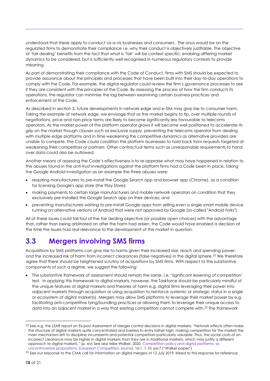understood that these apply to conduct vis-a-vis businesses and consumers. The onus would be on the regulated firms to demonstrate their compliance i.e. why their conduct is objectively justifiable. The objective of 'fair dealing' benefits from the fact that what is 'fair' will be context specific, enabling differing market dynamics to be considered, but is sufficiently well recognised in numerous regulatory contexts to provide meaning.

As part of demonstrating their compliance with the Code of Conduct, firms with SMS should be expected to provide assurance about the principles and processes that have been built into their day-to-day operations to comply with the Code. For example, the digital regulator could review the firm's governance processes to see if they are consistent with the principles of the Code. By assessing the process of how the firm conducts its operations, the regulator can minimise the lag between examining certain business practices and enforcement of the Code.

As described in section 2, future developments in network edge and e-SIM may give rise to consumer harm. Taking the example of network edge, we envisage that as the market begins to tip, over multiple rounds of negotiations, price and non-price terms are likely to become significantly less favourable to telecoms operators. As the market power of the platform operator grows it will become well positioned to accelerate its grip on the market though clauses such as exclusive supply, preventing the telecoms operator from dealing with multiple edge platforms and in time weakening the competitive dynamics as alternative providers are unable to compete. The Code could condition the platform businesses to hold back from requests targeted at weakening their competitors or partners. Other contractual terms such as unreasonable requirements to hand over data could also be outlawed.

Another means of assessing the Code's effectiveness is to re-appraise what may have happened in relation to the abuses found in the anti-trust investigations against the platform firms had a Code been in place. Taking the Google Android investigation as an example the three abuses were:

- requiring manufacturers to pre-install the Google Search app and browser app (Chrome), as a condition for licensing Google's app store (the Play Store);
- making payments to certain large manufacturers and mobile network operators on condition that they exclusively pre-installed the Google Search app on their devices; and
- preventing manufacturers wishing to pre-install Google apps from selling even a single smart mobile device running on alternative versions of Android that were not approved by Google (so-called "Android forks").

All of these issues could fall foul of the fair dealing objective (or possible open choices) with the advantage that, rather than being arbitrated on after the harm had arisen, the Code would have enabled a decision at the time the issues had real relevance to the development of the market in question.

### <span id="page-18-0"></span>**3.3 Mergers involving SMS firms**

Acquisitions by SMS platforms can give rise to harms given their increased size, reach and spending power, and the increased risk of harm from incorrect clearances (false negatives) in the digital sphere.<sup>22</sup> We therefore agree that there should be heightened scrutiny of acquisitions by SMS firms. With respect to the substantive components of such a regime, we suggest the following:

• The substantive framework of assessment should remain the same, i.e. 'significant lessening of competition' test. In applying this framework to digital markets, however, the Taskforce should be particularly mindful of the unique features of digital markets and theories of harm e.g. digital firms leveraging their power into adjacent markets through acquisition or using acquisition to reinforce systemic or strategic status in a single or ecosystem of digital market(s). Mergers may allow SMS platforms to leverage their market power by e.g. facilitating anti-competitive tying/bundling practices or allowing them to leverage their unique access to data into an adjacent market in a way that existing competitors cannot compete with.<sup>23</sup> The framework

<sup>&</sup>lt;sup>22</sup> See e.g. the LEAR report on Ex-post Assessment of Merger control decisions in digital markets: "Network effects often make the structure of digital markets quite concentrated and barriers to entry rather high, making competition for the market the main mechanism left to discipline incumbents and potential competitors particularly valuable. Thus, the social costs of an incorrect clearance may be higher in digital markets than they are in traditional markets, which may justify a different approach to digital markets." (p. xiv) See also Mike Walker, 2020. [Competition policy and](https://www.tandfonline.com/doi/full/10.1080/17441056.2020.1730063) digital platforms: six [uncontroversial propositions, European Competition Journal.](https://www.tandfonline.com/doi/full/10.1080/17441056.2020.1730063) 16:1, 1-10, p6-7 ("Walker paper")

<sup>&</sup>lt;sup>23</sup> See our response to the CMA call for information on digital mergers of 12 July 2019, linked to this response for reference.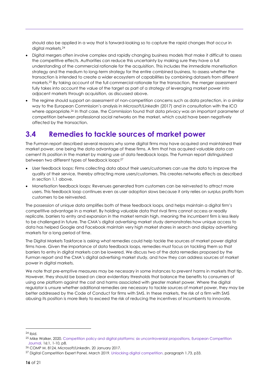should also be applied in a way that is forward-looking so to capture the rapid changes that occur in digital markets.<sup>24</sup>

- Digital mergers often involve complex and rapidly changing business models that make it difficult to assess the competitive effects. Authorities can reduce this uncertainty by making sure they have a full understanding of the commercial rationale for the acquisition. This includes the immediate monetisation strategy and the medium to long-term strategy for the entire combined business, to assess whether the transaction is intended to create a wider ecosystem of capabilities by combining datasets from different markets. <sup>25</sup> By taking account of the full commercial rationale for the transaction, the merger assessment fully takes into account the value of the target as part of a strategy of leveraging market power into adjacent markets through acquisition, as discussed above.
- The regime should support an assessment of non-competition concerns such as data protection, in a similar way to the European Commission's analysis in *Microsoft/LinkedIn* (2017) and in consultation with the ICO where appropriate. <sup>26</sup> In that case, the Commission found that data privacy was an important parameter of competition between professional social networks on the market, which could have been negatively affected by the transaction.

### <span id="page-19-0"></span>**3.4 Remedies to tackle sources of market power**

The Furman report described several reasons why some digital firms may have acquired and maintained their market power, one being the data advantage of these firms. A firm that has acquired valuable data can cement its position in the market by making use of data feedback loops. The Furman report distinguished between two different types of feedback loops:<sup>27</sup>

- User feedback loops: Firms collecting data about their users/customers can use the data to improve the quality of their service, thereby attracting more users/customers. This creates networks effects as described in section 1.1 above.
- Monetisation feedback loops: Revenues generated from customers can be reinvested to attract more users. This feedback loop continues even as user adoption slows because it only relies on surplus profits from customers to be reinvested.

The possession of unique data amplifies both of these feedback loops, and helps maintain a digital firm's competitive advantage in a market. By holding valuable data that rival firms cannot access or readily replicate, barriers to entry and expansion in the market remain high, meaning the incumbent firm is less likely to be challenged in future. The CMA's digital advertising market study demonstrates how unique access to data has helped Google and Facebook maintain very high market shares in search and display advertising markets for a long period of time.

The Digital Markets Taskforce is asking what remedies could help tackle the sources of market power digital firms have. Given the importance of data feedback loops, remedies must focus on tackling them so that barriers to entry in digital markets can be lowered. We discuss two of the data remedies proposed by the Furman report and the CMA's digital advertising market study, and how they can address sources of market power in digital markets.

We note that pre-emptive measures may be necessary in some instances to prevent harms in markets that tip. However, they should be based on clear evidentiary thresholds that balance the benefits to consumers of using one platform against the cost and harms associated with greater market power. Where the digital regulator is unsure whether additional remedies are necessary to tackle sources of market power, they may be better addressed by the Code of Conduct for firms with SMS. In these markets, the risk of a firm with SMS abusing its position is more likely to exceed the risk of reducing the incentives of incumbents to innovate.

<sup>24</sup> Ibid.

<sup>&</sup>lt;sup>25</sup> Mike Walker, 2020. Competition policy and digital platforms: six uncontroversial propositions, European Competition [Journal.](https://www.tandfonline.com/doi/full/10.1080/17441056.2020.1730063) 16:1, 1-10, p8.

<sup>26</sup> COMP M. 8124, Microsoft/LinkedIn, 20 January 2017.

<sup>27</sup> Digital Competition Expert Panel, March 2019. [Unlocking digital competition.](https://assets.publishing.service.gov.uk/government/uploads/system/uploads/attachment_data/file/785547/unlocking_digital_competition_furman_review_web.pdf) paragraph 1.73, p33.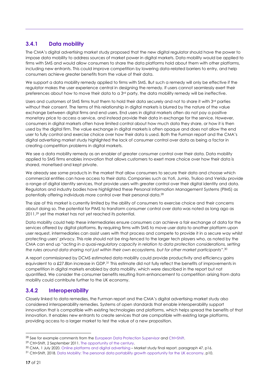#### **3.4.1 Data mobility**

The CMA's digital advertising market study proposed that the new digital regulator should have the power to impose data mobility to address sources of market power in digital markets. Data mobility would be applied to firms with SMS and would allow consumers to share the data platforms hold about them with other platforms, including new entrants. This could improve competition by lowering data-related barriers to entry, and help consumers achieve greater benefits from the value of their data.

We support a data mobility remedy applied to firms with SMS. But such a remedy will only be effective if the regulator makes the user experience central in designing the remedy. If users cannot seamlessly exert their preferences about how to move their data to a 3<sup>rd</sup> party, the data mobility remedy will be ineffective.

Users and customers of SMS firms trust them to hold their data securely and not to share it with 3rd parties without their consent. The terms of this relationship in digital markets is blurred by the nature of the value exchange between digital firms and end users. End users in digital markets often do not pay a positive monetary price to access a service, and instead provide their data in exchange for the service. However, consumers in digital markets often have limited control about how much data they share, or how it is then used by the digital firm. The value exchange in digital markets is often opaque and does not allow the end user to fully control and exercise choice over how their data is used. Both the Furman report and the CMA's digital advertising market study highlighted the lack of consumer control over data as being a factor in creating competition problems in digital markets.

We see a data mobility remedy as an enabler of greater consumer control over their data. Data mobility applied to SMS firms enables innovation that allows customers to exert more choice over how their data is shared, monetised and kept private.

We already see some products in the market that allow consumers to secure their data and choose which commercial entities can have access to their data. Companies such as Yoti, Jumio, Trulioo and Veridu provide a range of digital identity services, that provide users with greater control over their digital identity and data. Regulators and industry bodies have highlighted these Personal Information Management Systems (PIMS) as potentially offering individuals more control over their personal data.<sup>28</sup>

The size of this market is currently limited by the ability of consumers to exercise choice and their concerns about doing so. The potential for PIMS to transform consumer control over data was noted as long ago as 2011,<sup>29</sup> yet the market has not yet reached its potential.

Data mobility could help these intermediaries ensure consumers can achieve a fair exchange of data for the services offered by digital platforms. By requiring firms with SMS to move user data to another platform upon user request, intermediaries can assist users with that process and compete to provide it in a secure way whilst protecting users' privacy. This role should not be ring-fenced to the larger tech players who, as noted by the CMA can end up "*acting in a quasi-regulatory capacity in relation to data protection considerations, setting the rules around data sharing not just within their own ecosystems, but for other market participants*".<sup>30</sup>

A report commissioned by DCMS estimated data mobility could provide productivity and efficiency gains equivalent to a £27.8bn increase in GDP.<sup>31</sup> This estimate did not fully reflect the benefits of improvements in competition in digital markets enabled by data mobility, which were described in the report but not quantified. We consider the consumer benefits resulting from enhancement to competition arising from data mobility could contribute further to the UK economy.

#### **3.4.2 Interoperability**

Closely linked to data remedies, the Furman report and the CMA's digital advertising market study also considered interoperability remedies. Systems of open standards that enable interoperability support innovation that is compatible with existing technologies and platforms, which helps spread the benefits of that innovation. It enables new entrants to create services that are compatible with existing large platforms, providing access to a larger market to test the value of a new proposition.

<sup>&</sup>lt;sup>28</sup> See for example comments from th[e European Data Protection Supervisor](https://edps.europa.eu/data-protection/our-work/subjects/personal-information-management-system_en) an[d Ctrl+Shift.](https://www.ctrl-shift.co.uk/news/brands-as-information-services/2011/09/02/the-opportunity-of-the-century/)

<sup>29</sup> Ctrl+Shift, 2 September 2011. [The opportunity of the century.](https://www.ctrl-shift.co.uk/news/brands-as-information-services/2011/09/02/the-opportunity-of-the-century/)

<sup>30</sup> CMA, 1 July 2020[. Online platforms and digital advertising](https://assets.publishing.service.gov.uk/media/5efc57ed3a6f4023d242ed56/Final_report_1_July_2020_.pdf) – Market study final report. paragraph 47, p16.

<sup>31</sup> Ctrl+Shift, 2018. [Data Mobility: The personal data portability growth opportunity for the UK economy.](https://www.ctrl-shift.co.uk/reports/DCMS_Ctrl-Shift_Data_mobility_report_summary.pdf) p10.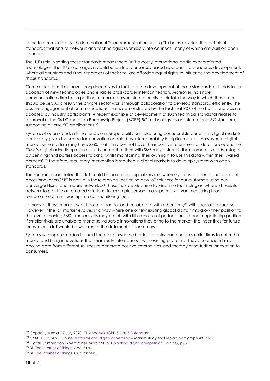In the telecoms industry, the International Telecommunication Union (ITU) helps develop the technical standards that ensure networks and technologies seamlessly interconnect, many of which are built on open standards.

The ITU's role in setting these standards means there isn't a costly international battle over preferred technologies. The ITU encourages a contribution-led, consensus-based approach to standards development, where all countries and firms, regardless of their size, are afforded equal rights to influence the development of those standards.

Communications firms have strong incentives to facilitate the development of these standards as it aids faster adoption of new technologies and enables cross-border interconnection. Moreover, no single communications firm has a position of market power internationally to dictate the way in which these terms should be set. As a result, the private sector works through collaboration to develop standards efficiently. The positive engagement of communications firms is demonstrated by the fact that 90% of the ITU's standards are adopted by industry participants. A recent example of development of such technical standards relates to approval of the 3rd Generation Partnership Project (3GPP) 5G technology as an international 5G standard, supporting diverse 5G applications.<sup>32</sup>

Systems of open standards that enable interoperability can also bring considerable benefits in digital markets, particularly given the scope for innovation enabled by interoperability in digital markets. However, in digital markets where a firm may have SMS, that firm does not have the incentive to ensure standards are open. The CMA's digital advertising market study noted that firms with SMS may entrench their competitive advantage by denying third parties access to data, whilst maintaining their own right to use this data within their 'walled gardens'.<sup>33</sup> Therefore, regulatory intervention is required in digital markets to develop systems with open standards.

The Furman report noted that IoT could be an area of digital services where systems of open standards could boost innovation.<sup>34</sup> BT is active in these markets, designing new IoT solutions for our customers using our converged fixed and mobile networks.<sup>35</sup> These include Machine to Machine technologies, where BT uses its network to provide automated solutions, for example sensors in a supermarket van measuring food temperature or a microchip in a car monitoring fuel.

In many of these markets we choose to partner and collaborate with other firms,<sup>36</sup> with specialist expertise. However, if the IoT market evolves in a way where one or few existing global digital firms grow their position to the level of having SMS, smaller rivals may be left with little choice of partners and a poor negotiating position. If smaller rivals are unable to monetise valuable innovations they bring to the market, the incentives for future innovation in IoT would be weaker, to the detriment of consumers.

Systems with open standards could therefore lower the barriers to entry and enable smaller firms to enter the market and bring innovations that seamlessly interconnect with existing platforms. They also enable firms pooling data from different sources to generate positive externalities, and thereby bring further innovation to consumers.

<sup>32</sup> Capacity Media, 17 July 2020. [ITU endorses 3GPP 5G as 5G standard.](https://www.capacitymedia.com/articles/3825985/itu-endorses-3gpp-5g-as-5g-standard)

<sup>33</sup> CMA, 1 July 2020[. Online platforms and digital advertising](https://assets.publishing.service.gov.uk/media/5efc57ed3a6f4023d242ed56/Final_report_1_July_2020_.pdf) - Market study final report. paragraph 48, p16.

<sup>34</sup> Digital Competition Expert Panel, March 2019. [Unlocking digital competition.](https://assets.publishing.service.gov.uk/government/uploads/system/uploads/attachment_data/file/785547/unlocking_digital_competition_furman_review_web.pdf) Box 2.G, p73.

<sup>35</sup> BT. [The Internet of Things.](https://www.iot.bt.com/about-us.html) About us.

<sup>36</sup> BT. [The Internet of Things.](https://www.iot.bt.com/our-partners.html) Our Partners.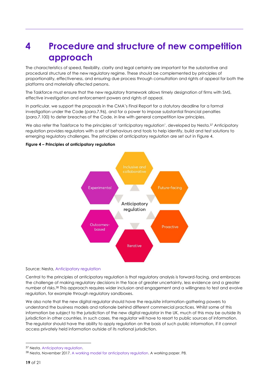# <span id="page-22-0"></span>**4 Procedure and structure of new competition approach**

The characteristics of speed, flexibility, clarity and legal certainty are important for the substantive and procedural structure of the new regulatory regime. These should be complemented by principles of proportionality, effectiveness, and ensuring due process through consultation and rights of appeal for both the platforms and materially affected persons.

The Taskforce must ensure that the new regulatory framework allows timely designation of firms with SMS, effective investigation and enforcement powers and rights of appeal.

In particular, we support the proposals in the CMA's Final Report for a statutory deadline for a formal investigation under the Code (para.7.96), and for a power to impose substantial financial penalties (para.7.100) to deter breaches of the Code, in line with general competition law principles.

We also refer the Taskforce to the principles of 'anticipatory regulation', developed by Nesta.<sup>37</sup> Anticipatory regulation provides regulators with a set of behaviours and tools to help identify, build and test solutions to emerging regulatory challenges. The principles of anticipatory regulation are set out in Figure 4.

#### **Figure 4 – Principles of anticipatory regulation**



#### Source: Nesta, [Anticipatory regulation](https://www.nesta.org.uk/feature/innovation-methods/anticipatory-regulation/)

Central to the principles of anticipatory regulation is that regulatory analysis is forward-facing, and embraces the challenge of making regulatory decisions in the face of greater uncertainty, less evidence and a greater number of risks.<sup>38</sup> This approach requires wider inclusion and engagement and a willingness to test and evolve regulation, for example through regulatory sandboxes.

We also note that the new digital regulator should have the requisite information-gathering powers to understand the business models and rationale behind different commercial practices. Whilst some of this information be subject to the jurisdiction of the new digital regulator in the UK, much of this may be outside its jurisdiction in other countries. In such cases, the regulator will have to resort to public sources of information. The regulator should have the ability to apply regulation on the basis of such public information, if it cannot access privately held information outside of its national jurisdiction.

<sup>&</sup>lt;sup>37</sup> Nesta[. Anticipatory regulation.](https://www.nesta.org.uk/feature/innovation-methods/anticipatory-regulation/)

<sup>38</sup> Nesta, November 2017. [A working model for anticipatory regulation.](https://media.nesta.org.uk/documents/working_model_for_anticipatory_regulation_0_TpDHt7z.pdf) A working paper. P8.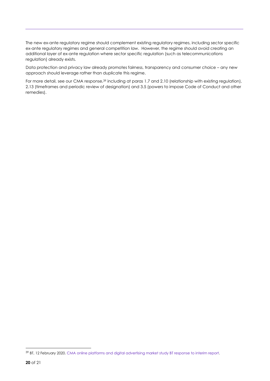The new ex-ante regulatory regime should complement existing regulatory regimes, including sector specific ex-ante regulatory regimes and general competition law. However, the regime should avoid creating an additional layer of ex-ante regulation where sector specific regulation (such as telecommunications regulation) already exists.

Data protection and privacy law already promotes fairness, transparency and consumer choice – any new approach should leverage rather than duplicate this regime.

For more detail, see our CMA response,<sup>39</sup> including at paras 1.7 and 2.10 (relationship with existing regulation), 2.13 (timeframes and periodic review of designation) and 3.5 (powers to impose Code of Conduct and other remedies).

<sup>39</sup> BT, 12 February 2020[. CMA online platforms and digital advertising market study BT response to interim report.](https://assets.publishing.service.gov.uk/media/5e8c7e5fe90e070776797277/200212_BT_Interim_report_Response_NON-CONFIDENTIAL.pdf)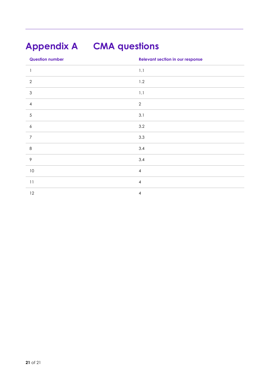# <span id="page-24-0"></span>**Appendix A CMA questions**

| <b>Question number</b>                    | <b>Relevant section in our response</b> |
|-------------------------------------------|-----------------------------------------|
| $\mathbf{I}$                              | $1.1\,$                                 |
| $\sqrt{2}$                                | 1.2                                     |
| $\ensuremath{\mathsf{3}}$                 | $1.1\,$                                 |
| $\overline{4}$                            | $\mathbf{2}$                            |
| $\sqrt{5}$                                | 3.1                                     |
| $\boldsymbol{6}$                          | 3.2                                     |
| $\overline{7}$                            | 3.3                                     |
| $\,8\,$                                   | 3.4                                     |
| $\mathcal{P}$                             | 3.4                                     |
| $10\,$                                    | $\overline{4}$                          |
| $\begin{smallmatrix}1&1\end{smallmatrix}$ | $\overline{4}$                          |
| $12\,$                                    | $\overline{\mathbf{4}}$                 |